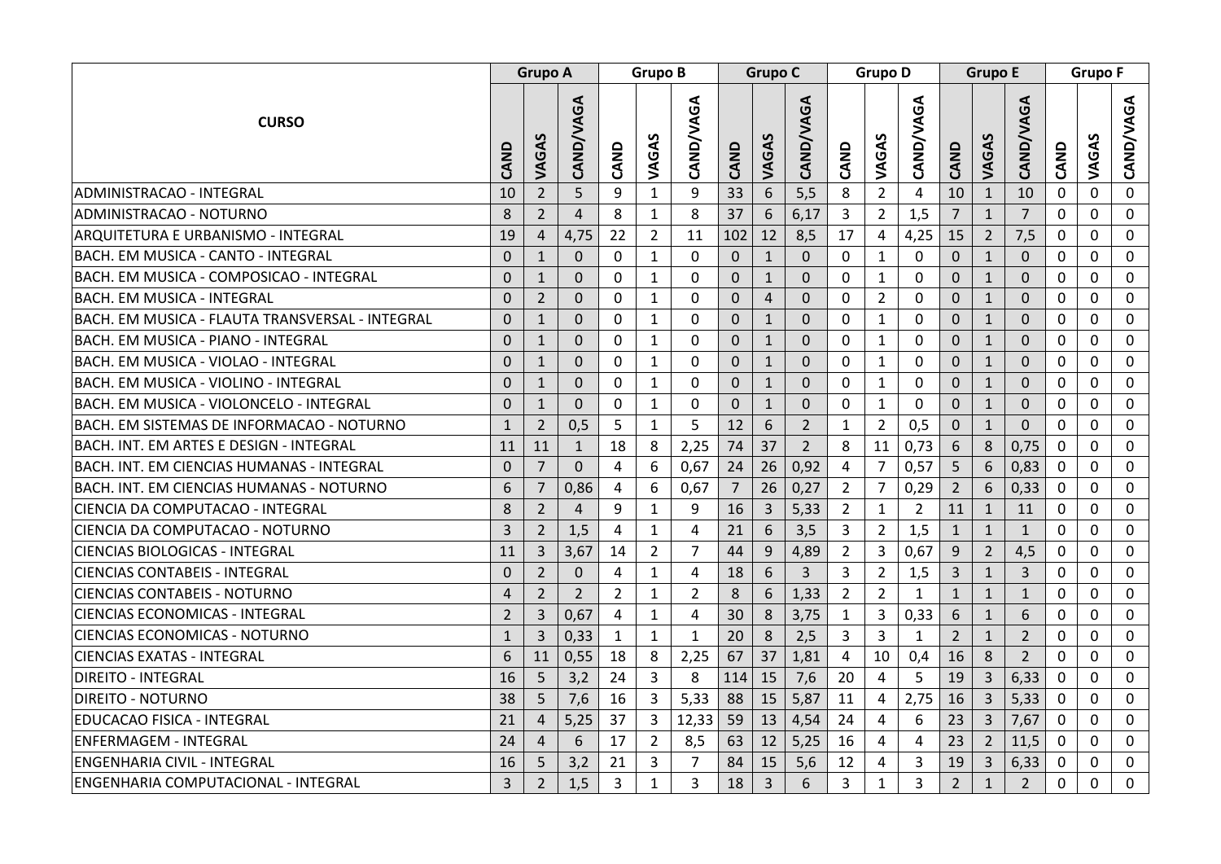|                                                 |                |                | Grupo A        |                |                | <b>Grupo B</b> |                  |                | Grupo C          | <b>Grupo D</b> |                |                  | <b>Grupo E</b> |                |                  | <b>Grupo F</b> |             |             |
|-------------------------------------------------|----------------|----------------|----------------|----------------|----------------|----------------|------------------|----------------|------------------|----------------|----------------|------------------|----------------|----------------|------------------|----------------|-------------|-------------|
| <b>CURSO</b>                                    | CAND           | VAGAS          | CAND/VAGA      | CAND           | VAGAS          | CAND/VAGA      | CAND             | VAGAS          | <b>CAND/VAGA</b> | CAND           | VAGAS          | <b>CAND/VAGA</b> | CAND           | VAGAS          | <b>CAND/VAGA</b> | CAND           | VAGAS       | CAND/VAGA   |
| ADMINISTRACAO - INTEGRAL                        | 10             | $\overline{2}$ | 5              | 9              | $\mathbf{1}$   | 9              | 33               | 6              | 5,5              | 8              | $\overline{2}$ | $\overline{4}$   | 10             | $1\,$          | 10               | $\Omega$       | 0           | $\Omega$    |
| ADMINISTRACAO - NOTURNO                         | 8              | $\overline{2}$ | $\overline{4}$ | 8              | $\mathbf{1}$   | 8              | 37               | 6              | 6,17             | 3              | $\overline{2}$ | 1,5              | $\overline{7}$ | $\mathbf{1}$   | $\overline{7}$   | 0              | 0           | 0           |
| ARQUITETURA E URBANISMO - INTEGRAL              | 19             | $\overline{4}$ | 4,75           | 22             | $\overline{2}$ | 11             | 102              | 12             | 8,5              | 17             | $\overline{4}$ | 4,25             | 15             | $\overline{2}$ | 7,5              | 0              | 0           | 0           |
| BACH. EM MUSICA - CANTO - INTEGRAL              | $\Omega$       | $\mathbf{1}$   | $\mathbf{0}$   | 0              | $\mathbf{1}$   | $\Omega$       | $\mathbf 0$      | $\mathbf{1}$   | $\overline{0}$   | $\mathbf 0$    | $\mathbf{1}$   | $\mathbf 0$      | $\mathbf 0$    | $\mathbf{1}$   | $\mathbf{0}$     | $\Omega$       | $\mathbf 0$ | $\Omega$    |
| BACH. EM MUSICA - COMPOSICAO - INTEGRAL         | $\overline{0}$ | 1              | $\Omega$       | $\mathbf 0$    | $\mathbf{1}$   | $\Omega$       | $\boldsymbol{0}$ | $\mathbf{1}$   | $\Omega$         | $\mathbf 0$    | $\mathbf{1}$   | 0                | $\mathbf 0$    | $\mathbf 1$    | $\mathbf 0$      | 0              | $\mathbf 0$ | 0           |
| <b>BACH. EM MUSICA - INTEGRAL</b>               | $\mathbf{0}$   | $\overline{2}$ | $\mathbf 0$    | 0              | $\mathbf{1}$   | 0              | $\mathbf 0$      | $\overline{4}$ | 0                | 0              | $\overline{2}$ | 0                | $\mathbf 0$    | $\mathbf{1}$   | $\mathbf 0$      | 0              | $\mathbf 0$ | 0           |
| BACH. EM MUSICA - FLAUTA TRANSVERSAL - INTEGRAL | $\Omega$       | $\mathbf{1}$   | $\Omega$       | $\Omega$       | $\mathbf{1}$   | $\Omega$       | $\mathbf 0$      | $\mathbf{1}$   | $\Omega$         | 0              | $\mathbf{1}$   | 0                | $\mathbf 0$    | $\mathbf{1}$   | $\mathbf 0$      | $\Omega$       | 0           | $\Omega$    |
| BACH. EM MUSICA - PIANO - INTEGRAL              | $\Omega$       | $\mathbf{1}$   | $\Omega$       | 0              | 1              | $\Omega$       | $\mathbf 0$      | $\mathbf{1}$   | $\Omega$         | $\Omega$       | $\mathbf{1}$   | 0                | $\Omega$       | $\mathbf{1}$   | $\Omega$         | 0              | 0           | $\Omega$    |
| BACH. EM MUSICA - VIOLAO - INTEGRAL             | $\mathbf{0}$   | $\mathbf{1}$   | $\mathbf{0}$   | $\mathbf 0$    | $\mathbf{1}$   | 0              | $\mathbf 0$      | $\mathbf{1}$   | 0                | $\mathbf 0$    | $\mathbf{1}$   | 0                | $\mathbf{0}$   | $\mathbf{1}$   | $\mathbf{0}$     | 0              | $\mathbf 0$ | $\mathbf 0$ |
| BACH. EM MUSICA - VIOLINO - INTEGRAL            | $\mathbf{0}$   | $\mathbf{1}$   | $\Omega$       | $\Omega$       | $\mathbf{1}$   | $\Omega$       | $\mathbf 0$      | $\mathbf{1}$   | $\overline{0}$   | $\Omega$       | $\mathbf{1}$   | $\Omega$         | $\mathbf 0$    | $\mathbf{1}$   | $\mathbf 0$      | 0              | $\Omega$    | 0           |
| BACH. EM MUSICA - VIOLONCELO - INTEGRAL         | $\Omega$       | $\mathbf{1}$   | $\mathbf 0$    | 0              | $\mathbf{1}$   | 0              | $\mathbf 0$      | $\mathbf{1}$   | $\overline{0}$   | $\mathbf 0$    | $\mathbf{1}$   | $\mathbf 0$      | $\mathbf{0}$   | $\mathbf{1}$   | $\mathbf{0}$     | $\Omega$       | 0           | $\Omega$    |
| BACH. EM SISTEMAS DE INFORMACAO - NOTURNO       | $\mathbf{1}$   | $\overline{2}$ | 0,5            | 5              | $\mathbf{1}$   | 5              | 12               | 6              | $\overline{2}$   | $\mathbf{1}$   | $\overline{2}$ | 0,5              | $\pmb{0}$      | $\mathbf{1}$   | $\mathbf{0}$     | $\Omega$       | $\mathbf 0$ | $\Omega$    |
| BACH. INT. EM ARTES E DESIGN - INTEGRAL         | 11             | 11             | $\mathbf{1}$   | 18             | 8              | 2,25           | 74               | 37             | $\overline{2}$   | 8              | 11             | 0,73             | 6              | 8              | 0,75             | 0              | $\Omega$    | $\Omega$    |
| BACH. INT. EM CIENCIAS HUMANAS - INTEGRAL       | $\mathbf{0}$   | $\overline{7}$ | $\Omega$       | 4              | 6              | 0,67           | 24               | 26             | 0,92             | 4              | $\overline{7}$ | 0,57             | 5              | 6              | 0,83             | 0              | 0           | $\Omega$    |
| BACH. INT. EM CIENCIAS HUMANAS - NOTURNO        | 6              | 7              | 0,86           | 4              | 6              | 0,67           | $\overline{7}$   | 26             | 0,27             | $\overline{2}$ | $\overline{7}$ | 0,29             | $\overline{2}$ | 6              | 0,33             | 0              | 0           | 0           |
| CIENCIA DA COMPUTACAO - INTEGRAL                | 8              | $\overline{2}$ | $\overline{4}$ | 9              | $\mathbf{1}$   | 9              | 16               | $\overline{3}$ | 5,33             | $\overline{2}$ | $\mathbf{1}$   | $\overline{2}$   | 11             | $\mathbf{1}$   | 11               | 0              | 0           | 0           |
| CIENCIA DA COMPUTACAO - NOTURNO                 | 3              | $\overline{2}$ | 1,5            | 4              | $\mathbf{1}$   | 4              | 21               | 6              | 3,5              | 3              | $\overline{2}$ | 1,5              | $\mathbf{1}$   | $\mathbf{1}$   | $1\,$            | $\Omega$       | $\mathbf 0$ | 0           |
| <b>CIENCIAS BIOLOGICAS - INTEGRAL</b>           | 11             | 3              | 3,67           | 14             | $\overline{2}$ | 7              | 44               | 9              | 4,89             | $\overline{2}$ | 3              | 0,67             | 9              | $\overline{2}$ | 4,5              | 0              | $\Omega$    | $\Omega$    |
| <b>CIENCIAS CONTABEIS - INTEGRAL</b>            | $\mathbf{0}$   | $\overline{2}$ | $\mathbf{0}$   | $\overline{4}$ | $\mathbf{1}$   | 4              | 18               | 6              | 3                | 3              | $\overline{2}$ | 1,5              | $\overline{3}$ | $1\,$          | 3                | $\Omega$       | $\mathbf 0$ | $\Omega$    |
| <b>CIENCIAS CONTABEIS - NOTURNO</b>             | 4              | $\overline{2}$ | $\overline{2}$ | $\overline{2}$ | $\mathbf{1}$   | $\overline{2}$ | 8                | 6              | 1,33             | $\overline{2}$ | $\overline{2}$ | $\mathbf{1}$     | $\mathbf{1}$   | $\mathbf{1}$   | $\mathbf{1}$     | 0              | 0           | $\Omega$    |
| <b>CIENCIAS ECONOMICAS - INTEGRAL</b>           | $\overline{2}$ | 3              | 0,67           | 4              | $\mathbf{1}$   | 4              | 30               | 8              | 3,75             | $\mathbf{1}$   | 3              | 0,33             | 6              | $\mathbf{1}$   | 6                | 0              | 0           | 0           |
| <b>CIENCIAS ECONOMICAS - NOTURNO</b>            | $\mathbf{1}$   | 3              | 0,33           | $\mathbf{1}$   | $\mathbf{1}$   | $\mathbf{1}$   | 20               | 8              | 2,5              | $\overline{3}$ | 3              | $\mathbf{1}$     | $\overline{2}$ | $\mathbf{1}$   | $\overline{2}$   | 0              | $\mathbf 0$ | 0           |
| <b>CIENCIAS EXATAS - INTEGRAL</b>               | 6              | 11             | 0,55           | 18             | 8              | 2,25           | 67               | 37             | 1,81             | $\overline{4}$ | 10             | 0,4              | 16             | 8              | $\overline{2}$   | 0              | $\Omega$    | 0           |
| <b>DIREITO - INTEGRAL</b>                       | 16             | 5              | 3,2            | 24             | 3              | 8              | 114              | 15             | 7,6              | 20             | $\overline{4}$ | 5                | 19             | 3              | 6,33             | 0              | $\Omega$    | 0           |
| <b>DIREITO - NOTURNO</b>                        | 38             | 5              | 7,6            | 16             | 3              | 5,33           | 88               | 15             | 5,87             | 11             | 4              | 2,75             | 16             | $\overline{3}$ | 5,33             | 0              | $\Omega$    | $\Omega$    |
| EDUCACAO FISICA - INTEGRAL                      | 21             | $\overline{a}$ | 5,25           | 37             | $\overline{3}$ | 12,33          | 59               | 13             | 4,54             | 24             | 4              | 6                | 23             | $\overline{3}$ | 7,67             | $\Omega$       | $\Omega$    | $\Omega$    |
| <b>ENFERMAGEM - INTEGRAL</b>                    | 24             | $\overline{4}$ | 6              | 17             | $\overline{2}$ | 8,5            | 63               | 12             | 5,25             | 16             | 4              | 4                | 23             | $\overline{2}$ | 11,5             | 0              | 0           | $\mathbf 0$ |
| <b>ENGENHARIA CIVIL - INTEGRAL</b>              | 16             | 5              | 3,2            | 21             | 3              | $\overline{7}$ | 84               | 15             | 5,6              | 12             | 4              | 3                | 19             | 3              | 6,33             | 0              | 0           | 0           |
| <b>ENGENHARIA COMPUTACIONAL - INTEGRAL</b>      | 3              | $\overline{2}$ | 1,5            | 3              | $\mathbf{1}$   | $\overline{3}$ | 18               | $\overline{3}$ | 6                | 3              | $\mathbf{1}$   | 3                | $\overline{2}$ | $\mathbf{1}$   | $\overline{2}$   | $\Omega$       | 0           | 0           |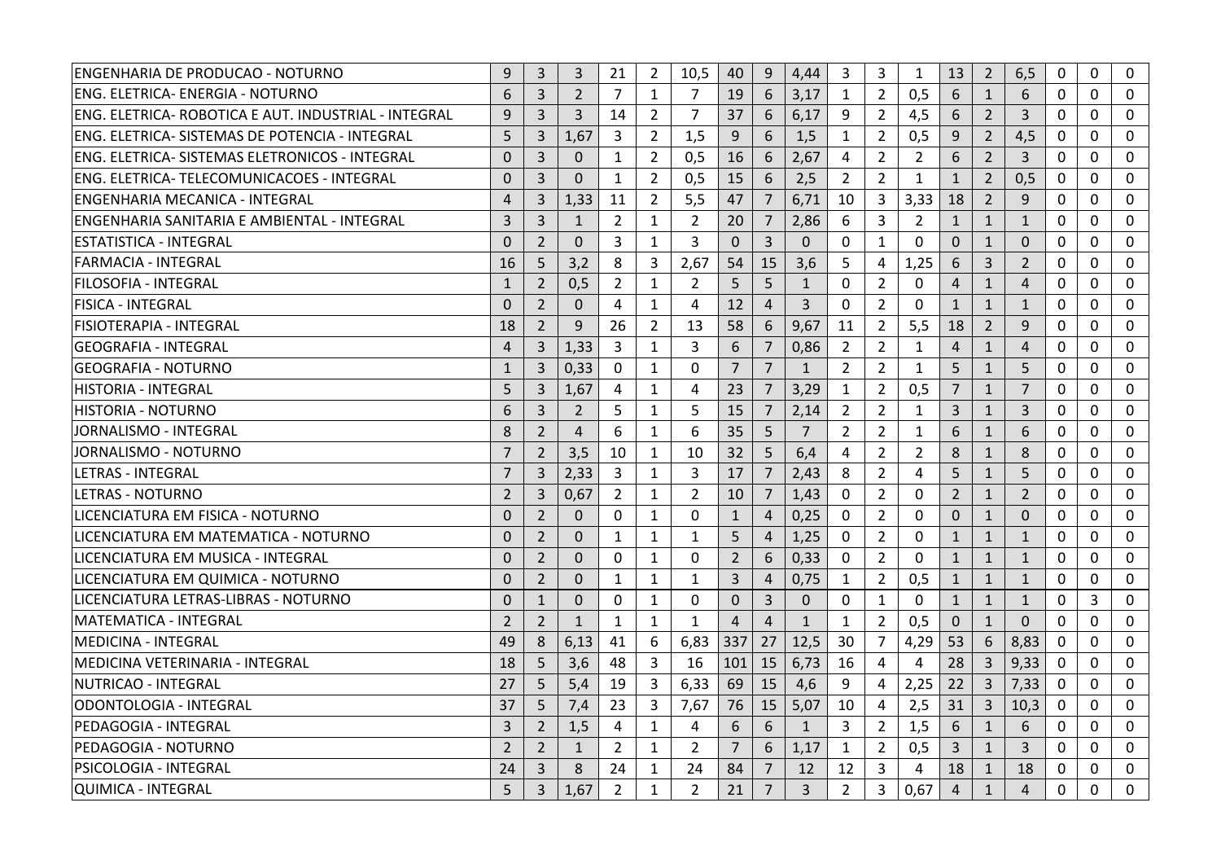| ENGENHARIA DE PRODUCAO - NOTURNO                     | 9              | 3              | 3              | 21             | $\overline{2}$ | 10,5           | 40             | 9               | 4,44           | 3              | 3              | 1              | 13             | $\overline{2}$ | 6,5            | $\Omega$     | $\Omega$    | $\Omega$         |
|------------------------------------------------------|----------------|----------------|----------------|----------------|----------------|----------------|----------------|-----------------|----------------|----------------|----------------|----------------|----------------|----------------|----------------|--------------|-------------|------------------|
| ENG. ELETRICA- ENERGIA - NOTURNO                     | 6              | 3              | $\overline{2}$ | 7              | $\mathbf{1}$   | 7              | 19             | 6               | 3,17           | 1              | 2              | 0,5            | 6              | $\mathbf{1}$   | 6              | 0            | $\Omega$    | $\Omega$         |
| ENG. ELETRICA- ROBOTICA E AUT. INDUSTRIAL - INTEGRAL | 9              | $\overline{3}$ | 3              | 14             | $\overline{2}$ | $\overline{7}$ | 37             | 6               | 6,17           | 9              | $\overline{2}$ | 4,5            | 6              | $\overline{2}$ | 3              | 0            | $\Omega$    | $\Omega$         |
| ENG. ELETRICA- SISTEMAS DE POTENCIA - INTEGRAL       | 5              | 3              | 1.67           | 3              | $\overline{2}$ | 1,5            | 9              | 6               | 1,5            | $\mathbf{1}$   | $\overline{2}$ | 0,5            | 9              | $\overline{2}$ | 4,5            | $\mathbf 0$  | $\Omega$    | $\mathbf 0$      |
| ENG. ELETRICA- SISTEMAS ELETRONICOS - INTEGRAL       | $\mathbf{0}$   | 3              | $\mathbf 0$    | $\mathbf{1}$   | $\overline{2}$ | 0,5            | 16             | $6\phantom{1}6$ | 2,67           | 4              | $\overline{2}$ | $\overline{2}$ | 6              | $\overline{2}$ | $\overline{3}$ | 0            | $\Omega$    | 0                |
| ENG. ELETRICA- TELECOMUNICACOES - INTEGRAL           | $\mathbf{0}$   | 3              | $\Omega$       | $\mathbf{1}$   | $\overline{2}$ | 0,5            | 15             | 6               | 2,5            | $\overline{2}$ | $\overline{2}$ | $\mathbf{1}$   | $\mathbf{1}$   | $\overline{2}$ | 0,5            | $\mathbf{0}$ | $\Omega$    | 0                |
| ENGENHARIA MECANICA - INTEGRAL                       | $\overline{4}$ | 3              | 1,33           | 11             | $\overline{2}$ | 5,5            | 47             | $\overline{7}$  | 6,71           | 10             | 3              | 3,33           | 18             | $\overline{2}$ | 9              | $\mathbf{0}$ | $\mathbf 0$ | $\mathbf 0$      |
| ENGENHARIA SANITARIA E AMBIENTAL - INTEGRAL          | $\overline{3}$ | $\overline{3}$ | 1              | $\overline{2}$ | $\mathbf{1}$   | $\overline{2}$ | 20             | $\overline{7}$  | 2,86           | 6              | 3              | $\overline{2}$ | $\mathbf{1}$   | $\mathbf{1}$   | $\mathbf{1}$   | $\Omega$     | $\Omega$    | $\Omega$         |
| ESTATISTICA - INTEGRAL                               | $\mathbf{0}$   | $\overline{2}$ | $\mathbf{0}$   | 3              | 1              | 3              | $\mathbf{0}$   | $\overline{3}$  | $\mathbf{0}$   | 0              | $\mathbf{1}$   | 0              | $\mathbf 0$    | $\mathbf{1}$   | $\Omega$       | 0            | 0           | $\mathbf 0$      |
| <b>FARMACIA - INTEGRAL</b>                           | 16             | 5              | 3,2            | 8              | 3              | 2,67           | 54             | 15              | 3,6            | 5              | 4              | 1,25           | 6              | 3              | 2              | $\Omega$     | $\Omega$    | $\Omega$         |
| FILOSOFIA - INTEGRAL                                 | $\mathbf{1}$   | $\overline{2}$ | 0.5            | $\overline{2}$ | 1              | 2              | 5              | 5               | $\mathbf{1}$   | 0              | $\overline{2}$ | $\Omega$       | $\overline{4}$ | $\mathbf{1}$   | $\overline{4}$ | $\mathbf 0$  | $\Omega$    | $\mathbf 0$      |
| <b>FISICA - INTEGRAL</b>                             | $\Omega$       | $\overline{2}$ | $\mathbf{0}$   | 4              | $\mathbf{1}$   | 4              | 12             | $\overline{4}$  | $\overline{3}$ | $\mathbf{0}$   | $\overline{2}$ | $\mathbf{0}$   | $\mathbf{1}$   | $\mathbf{1}$   | $\mathbf{1}$   | $\Omega$     | $\Omega$    | $\Omega$         |
| FISIOTERAPIA - INTEGRAL                              | 18             | 2              | 9              | 26             | $\overline{2}$ | 13             | 58             | 6               | 9,67           | 11             | $\overline{2}$ | 5,5            | 18             | 2              | 9              | $\Omega$     | $\Omega$    | 0                |
| <b>GEOGRAFIA - INTEGRAL</b>                          | $\overline{4}$ | $\overline{3}$ | 1,33           | 3              | $\mathbf{1}$   | 3              | 6              | $\overline{7}$  | 0,86           | $\overline{2}$ | $\overline{2}$ | $\mathbf{1}$   | $\overline{4}$ | $\mathbf{1}$   | $\overline{4}$ | 0            | 0           | 0                |
| <b>GEOGRAFIA - NOTURNO</b>                           | $\mathbf{1}$   | $\overline{3}$ | 0,33           | $\Omega$       | $\mathbf{1}$   | $\Omega$       | $\overline{7}$ | $\overline{7}$  | $\mathbf{1}$   | $\overline{2}$ | $\overline{2}$ | $\mathbf{1}$   | 5              | $\mathbf{1}$   | 5              | $\Omega$     | $\Omega$    | $\Omega$         |
| <b>HISTORIA - INTEGRAL</b>                           | 5              | $\overline{3}$ | 1,67           | 4              | $\mathbf{1}$   | 4              | 23             | $\overline{7}$  | 3,29           | 1              | $\overline{2}$ | 0,5            | $\overline{7}$ | $\mathbf{1}$   | $\overline{7}$ | 0            | 0           | 0                |
| HISTORIA - NOTURNO                                   | 6              | 3              | $\overline{2}$ | 5              | $\mathbf{1}$   | 5              | 15             | $\overline{7}$  | 2,14           | $\overline{2}$ | $\overline{2}$ | $\mathbf{1}$   | $\overline{3}$ | $\mathbf{1}$   | 3              | $\mathbf{0}$ | $\Omega$    | $\Omega$         |
| <b>JORNALISMO - INTEGRAL</b>                         | 8              | $\overline{2}$ | 4              | 6              | $\mathbf{1}$   | 6              | 35             | 5               | $\overline{7}$ | $\overline{2}$ | $\overline{2}$ | $\mathbf{1}$   | 6              | $\mathbf{1}$   | 6              | $\mathbf 0$  | 0           | $\mathbf{0}$     |
| <b>JORNALISMO - NOTURNO</b>                          | $\overline{7}$ | $\overline{2}$ | 3,5            | 10             | $\mathbf{1}$   | 10             | 32             | 5               | 6,4            | 4              | $\overline{2}$ | $\overline{2}$ | 8              | $\mathbf{1}$   | 8              | $\Omega$     | $\Omega$    | $\Omega$         |
| <b>LETRAS - INTEGRAL</b>                             | $\overline{7}$ | 3              | 2,33           | 3              | 1              | 3              | 17             | $\overline{7}$  | 2,43           | 8              | $\overline{2}$ | 4              | 5              | $\mathbf{1}$   | 5              | $\mathbf 0$  | $\Omega$    | $\mathbf{0}$     |
| LETRAS - NOTURNO                                     | $\overline{2}$ | 3              | 0,67           | 2              | $\mathbf{1}$   | $\overline{2}$ | 10             | $\overline{7}$  | 1,43           | 0              | $\overline{2}$ | $\mathbf{0}$   | $\overline{2}$ | $\mathbf{1}$   | $\overline{2}$ | $\mathbf{0}$ | $\Omega$    | $\boldsymbol{0}$ |
| LICENCIATURA EM FISICA - NOTURNO                     | $\Omega$       | 2              | $\Omega$       | $\Omega$       | 1              | 0              | $\mathbf{1}$   | $\overline{4}$  | 0,25           | $\mathbf{0}$   | $\overline{2}$ | $\Omega$       | $\theta$       | $\mathbf{1}$   | $\Omega$       | $\Omega$     | $\Omega$    | $\mathbf{0}$     |
| LICENCIATURA EM MATEMATICA - NOTURNO                 | $\mathbf{0}$   | $\overline{2}$ | $\overline{0}$ | $\mathbf{1}$   | $\mathbf{1}$   | $\mathbf{1}$   | 5              | $\overline{4}$  | 1,25           | 0              | $\overline{2}$ | $\mathbf 0$    | $1\,$          | $\mathbf{1}$   | $\mathbf{1}$   | 0            | 0           | 0                |
| LICENCIATURA EM MUSICA - INTEGRAL                    | $\mathbf{0}$   | $\overline{2}$ | $\Omega$       | $\mathbf{0}$   | 1              | $\Omega$       | $\overline{2}$ | 6               | 0,33           | 0              | $\overline{2}$ | $\Omega$       | $\mathbf{1}$   | $\mathbf{1}$   | $\mathbf{1}$   | $\mathbf{0}$ | $\Omega$    | $\Omega$         |
| LICENCIATURA EM QUIMICA - NOTURNO                    | $\mathbf 0$    | $\overline{2}$ | $\Omega$       | $\mathbf{1}$   | 1              | $\mathbf{1}$   | $\overline{3}$ | $\overline{4}$  | 0,75           | 1              | $\overline{2}$ | 0,5            | $\mathbf{1}$   | $\mathbf{1}$   | $\mathbf{1}$   | 0            | 0           | 0                |
| LICENCIATURA LETRAS-LIBRAS - NOTURNO                 | $\Omega$       | $\mathbf{1}$   | $\Omega$       | $\Omega$       | $\mathbf{1}$   | $\Omega$       | $\mathbf{0}$   | $\overline{3}$  | $\Omega$       | $\mathbf{0}$   | $\mathbf{1}$   | 0              | $\mathbf{1}$   | $\mathbf{1}$   | $\mathbf{1}$   | 0            | 3           | $\Omega$         |
| <b>MATEMATICA - INTEGRAL</b>                         | $\overline{2}$ | $\overline{2}$ | $\mathbf{1}$   | $\mathbf{1}$   | $\mathbf{1}$   | $\mathbf{1}$   | $\overline{4}$ | $\overline{4}$  | $\mathbf{1}$   | $\mathbf{1}$   | $\overline{2}$ | 0,5            | $\mathbf{0}$   | $\mathbf{1}$   | $\mathbf{0}$   | $\mathbf 0$  | $\mathbf 0$ | $\mathbf{0}$     |
| <b>MEDICINA - INTEGRAL</b>                           | 49             | 8              | 6,13           | 41             | 6              | 6,83           | 337            | 27              | 12,5           | 30             | 7              | 4,29           | 53             | 6              | 8,83           | $\Omega$     | $\Omega$    | $\Omega$         |
| MEDICINA VETERINARIA - INTEGRAL                      | 18             | 5              | 3.6            | 48             | 3              | 16             | 101            | 15              | 6,73           | 16             | 4              | 4              | 28             | 3              | 9,33           | $\mathbf 0$  | $\Omega$    | $\mathbf 0$      |
| NUTRICAO - INTEGRAL                                  | 27             | 5              | 5,4            | 19             | $\overline{3}$ | 6,33           | 69             | 15              | 4,6            | 9              | 4              | 2,25           | 22             | $\overline{3}$ | 7,33           | $\mathbf 0$  | $\Omega$    | $\Omega$         |
| ODONTOLOGIA - INTEGRAL                               | 37             | 5              | 7,4            | 23             | 3              | 7,67           | 76             | 15              | 5,07           | 10             | 4              | 2,5            | 31             | 3              | 10,3           | $\Omega$     | $\Omega$    | $\mathbf{0}$     |
| PEDAGOGIA - INTEGRAL                                 | 3              | $\overline{2}$ | 1,5            | 4              | $\mathbf{1}$   | 4              | 6              | 6               | $\mathbf{1}$   | 3              | $\overline{2}$ | 1,5            | 6              | $\mathbf{1}$   | 6              | $\Omega$     | $\Omega$    | 0                |
| PEDAGOGIA - NOTURNO                                  | 2              | $\overline{2}$ | $\mathbf{1}$   | $\overline{2}$ | $\mathbf{1}$   | $\overline{2}$ | $\overline{7}$ | 6               | 1.17           | $\mathbf{1}$   | $\overline{2}$ | 0,5            | 3              | $\mathbf{1}$   | 3              | $\Omega$     | $\Omega$    | $\mathbf{0}$     |
| PSICOLOGIA - INTEGRAL                                | 24             | 3              | 8              | 24             | 1              | 24             | 84             | 7               | 12             | 12             | 3              | 4              | 18             | $\mathbf{1}$   | 18             | $\mathbf 0$  | $\Omega$    | $\mathbf{0}$     |
| QUIMICA - INTEGRAL                                   | 5              | $\overline{3}$ | 1,67           | $\overline{2}$ | $\mathbf{1}$   | $\overline{2}$ | 21             | $\overline{7}$  | $\overline{3}$ | $\overline{2}$ | 3              | 0,67           | $\overline{4}$ | $\mathbf{1}$   | $\overline{4}$ | $\Omega$     | $\Omega$    | $\Omega$         |